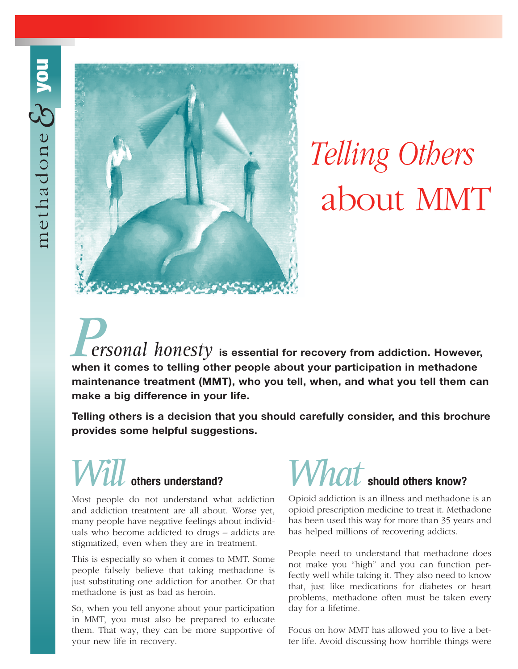

# *Telling Others* about MMT

**is essential for recovery from addiction. However, when it comes to telling other people about your participation in methadone maintenance treatment (MMT), who you tell, when, and what you tell them can make a big difference in your life.** *Personal honesty*

**Telling others is a decision that you should carefully consider, and this brochure provides some helpful suggestions.**

### **others understand?** Will others understand? What

Most people do not understand what addiction and addiction treatment are all about. Worse yet, many people have negative feelings about individuals who become addicted to drugs – addicts are stigmatized, even when they are in treatment.

This is especially so when it comes to MMT. Some people falsely believe that taking methadone is just substituting one addiction for another. Or that methadone is just as bad as heroin.

So, when you tell anyone about your participation in MMT, you must also be prepared to educate them. That way, they can be more supportive of your new life in recovery.

### $\boldsymbol{W}$ *nat* should others know?

Opioid addiction is an illness and methadone is an opioid prescription medicine to treat it. Methadone has been used this way for more than 35 years and has helped millions of recovering addicts.

People need to understand that methadone does not make you "high" and you can function perfectly well while taking it. They also need to know that, just like medications for diabetes or heart problems, methadone often must be taken every day for a lifetime.

Focus on how MMT has allowed you to live a better life. Avoid discussing how horrible things were